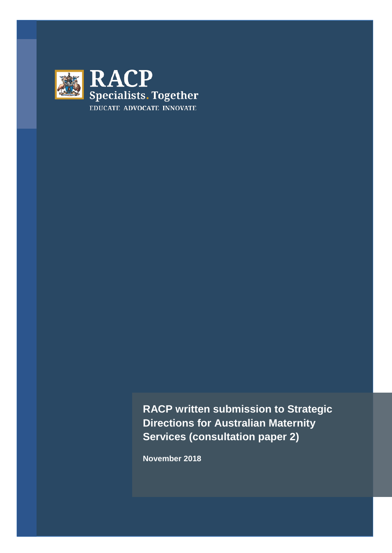

**RACP written submission to Strategic Directions for Australian Maternity Services (consultation paper 2)**

**November 2018**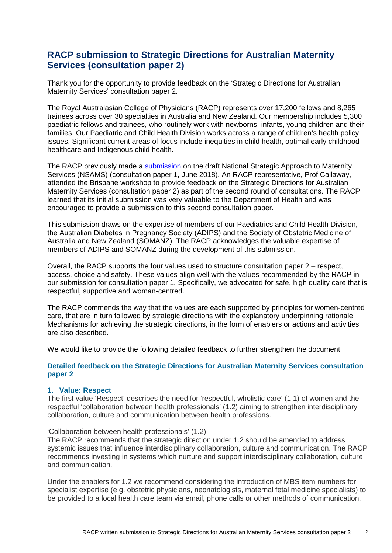# **RACP submission to Strategic Directions for Australian Maternity Services (consultation paper 2)**

Thank you for the opportunity to provide feedback on the 'Strategic Directions for Australian Maternity Services' consultation paper 2.

The Royal Australasian College of Physicians (RACP) represents over 17,200 fellows and 8,265 trainees across over 30 specialties in Australia and New Zealand. Our membership includes 5,300 paediatric fellows and trainees, who routinely work with newborns, infants, young children and their families. Our Paediatric and Child Health Division works across a range of children's health policy issues. Significant current areas of focus include inequities in child health, optimal early childhood healthcare and Indigenous child health.

The RACP previously made a [submission](https://www.racp.edu.au/docs/default-source/advocacy-library/racp-submission-to-national-strategic-approach-to-maternity-services-consultation.pdf?sfvrsn=abc5121a_4) on the draft National Strategic Approach to Maternity Services (NSAMS) (consultation paper 1, June 2018). An RACP representative, Prof Callaway, attended the Brisbane workshop to provide feedback on the Strategic Directions for Australian Maternity Services (consultation paper 2) as part of the second round of consultations. The RACP learned that its initial submission was very valuable to the Department of Health and was encouraged to provide a submission to this second consultation paper.

This submission draws on the expertise of members of our Paediatrics and Child Health Division, the Australian Diabetes in Pregnancy Society (ADIPS) and the Society of Obstetric Medicine of Australia and New Zealand (SOMANZ). The RACP acknowledges the valuable expertise of members of ADIPS and SOMANZ during the development of this submission.

Overall, the RACP supports the four values used to structure consultation paper 2 – respect, access, choice and safety. These values align well with the values recommended by the RACP in our submission for consultation paper 1. Specifically, we advocated for safe, high quality care that is respectful, supportive and woman-centred.

The RACP commends the way that the values are each supported by principles for women-centred care, that are in turn followed by strategic directions with the explanatory underpinning rationale. Mechanisms for achieving the strategic directions, in the form of enablers or actions and activities are also described.

We would like to provide the following detailed feedback to further strengthen the document.

# **Detailed feedback on the Strategic Directions for Australian Maternity Services consultation paper 2**

# **1. Value: Respect**

The first value 'Respect' describes the need for 'respectful, wholistic care' (1.1) of women and the respectful 'collaboration between health professionals' (1.2) aiming to strengthen interdisciplinary collaboration, culture and communication between health professions.

## 'Collaboration between health professionals' (1.2)

The RACP recommends that the strategic direction under 1.2 should be amended to address systemic issues that influence interdisciplinary collaboration, culture and communication. The RACP recommends investing in systems which nurture and support interdisciplinary collaboration, culture and communication.

Under the enablers for 1.2 we recommend considering the introduction of MBS item numbers for specialist expertise (e.g. obstetric physicians, neonatologists, maternal fetal medicine specialists) to be provided to a local health care team via email, phone calls or other methods of communication.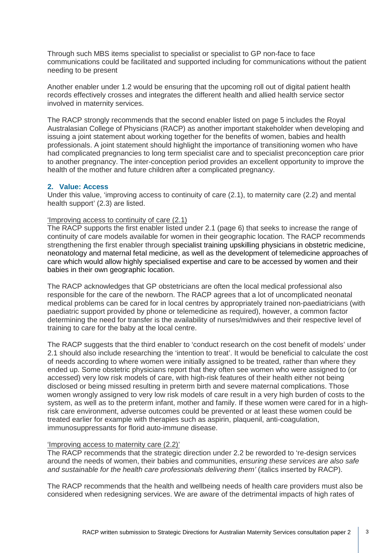Through such MBS items specialist to specialist or specialist to GP non-face to face communications could be facilitated and supported including for communications without the patient needing to be present

Another enabler under 1.2 would be ensuring that the upcoming roll out of digital patient health records effectively crosses and integrates the different health and allied health service sector involved in maternity services.

The RACP strongly recommends that the second enabler listed on page 5 includes the Royal Australasian College of Physicians (RACP) as another important stakeholder when developing and issuing a joint statement about working together for the benefits of women, babies and health professionals. A joint statement should highlight the importance of transitioning women who have had complicated pregnancies to long term specialist care and to specialist preconception care prior to another pregnancy. The inter-conception period provides an excellent opportunity to improve the health of the mother and future children after a complicated pregnancy.

## **2. Value: Access**

Under this value, 'improving access to continuity of care (2.1), to maternity care (2.2) and mental health support' (2.3) are listed.

## 'Improving access to continuity of care (2.1)

The RACP supports the first enabler listed under 2.1 (page 6) that seeks to increase the range of continuity of care models available for women in their geographic location. The RACP recommends strengthening the first enabler through specialist training upskilling physicians in obstetric medicine, neonatology and maternal fetal medicine, as well as the development of telemedicine approaches of care which would allow highly specialised expertise and care to be accessed by women and their babies in their own geographic location.

The RACP acknowledges that GP obstetricians are often the local medical professional also responsible for the care of the newborn. The RACP agrees that a lot of uncomplicated neonatal medical problems can be cared for in local centres by appropriately trained non-paediatricians (with paediatric support provided by phone or telemedicine as required), however, a common factor determining the need for transfer is the availability of nurses/midwives and their respective level of training to care for the baby at the local centre.

The RACP suggests that the third enabler to 'conduct research on the cost benefit of models' under 2.1 should also include researching the 'intention to treat'. It would be beneficial to calculate the cost of needs according to where women were initially assigned to be treated, rather than where they ended up. Some obstetric physicians report that they often see women who were assigned to (or accessed) very low risk models of care, with high-risk features of their health either not being disclosed or being missed resulting in preterm birth and severe maternal complications. Those women wrongly assigned to very low risk models of care result in a very high burden of costs to the system, as well as to the preterm infant, mother and family. If these women were cared for in a highrisk care environment, adverse outcomes could be prevented or at least these women could be treated earlier for example with therapies such as aspirin, plaquenil, anti-coagulation, immunosuppressants for florid auto-immune disease.

## 'Improving access to maternity care (2.2)'

The RACP recommends that the strategic direction under 2.2 be reworded to 're-design services around the needs of women, their babies and communities, *ensuring these services are also safe and sustainable for the health care professionals delivering them'* (italics inserted by RACP).

The RACP recommends that the health and wellbeing needs of health care providers must also be considered when redesigning services. We are aware of the detrimental impacts of high rates of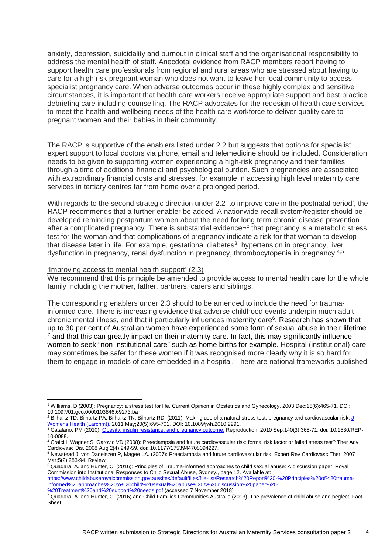anxiety, depression, suicidality and burnout in clinical staff and the organisational responsibility to address the mental health of staff. Anecdotal evidence from RACP members report having to support health care professionals from regional and rural areas who are stressed about having to care for a high risk pregnant woman who does not want to leave her local community to access specialist pregnancy care. When adverse outcomes occur in these highly complex and sensitive circumstances, it is important that health care workers receive appropriate support and best practice debriefing care including counselling. The RACP advocates for the redesign of health care services to meet the health and wellbeing needs of the health care workforce to deliver quality care to pregnant women and their babies in their community.

The RACP is supportive of the enablers listed under 2.2 but suggests that options for specialist expert support to local doctors via phone, email and telemedicine should be included. Consideration needs to be given to supporting women experiencing a high-risk pregnancy and their families through a time of additional financial and psychological burden. Such pregnancies are associated with extraordinary financial costs and stresses, for example in accessing high level maternity care services in tertiary centres far from home over a prolonged period.

With regards to the second strategic direction under 2.2 'to improve care in the postnatal period', the RACP recommends that a further enabler be added. A nationwide recall system/register should be developed reminding postpartum women about the need for long term chronic disease prevention after a complicated pregnancy. There is substantial evidence<sup>[1](#page-3-0),[2](#page-3-1)</sup> that pregnancy is a metabolic stress test for the woman and that complications of pregnancy indicate a risk for that woman to develop that disease later in life. For example, gestational diabetes<sup>[3](#page-3-2)</sup>, hypertension in pregnancy, liver dysfunction in pregnancy, renal dysfunction in pregnancy, thrombocytopenia in pregnancy.[4](#page-3-3),[5](#page-3-4)

#### 'Improving access to mental health support' (2.3)

We recommend that this principle be amended to provide access to mental health care for the whole family including the mother, father, partners, carers and siblings.

The corresponding enablers under 2.3 should to be amended to include the need for traumainformed care. There is increasing evidence that adverse childhood events underpin much adult chronic mental illness, and that it particularly influences maternity care<sup>[6](#page-3-5)</sup>. Research has shown that up to 30 per cent of Australian women have experienced some form of sexual abuse in their lifetime  $<sup>7</sup>$  $<sup>7</sup>$  $<sup>7</sup>$  and that this can greatly impact on their maternity care. In fact, this may significantly influence</sup> women to seek "non-institutional care" such as home births for example. Hospital (institutional) care may sometimes be safer for these women if it was recognised more clearly why it is so hard for them to engage in models of care embedded in a hospital. There are national frameworks published

<span id="page-3-0"></span><sup>1</sup> Williams, D (2003): Pregnancy: a stress test for life. Current Opinion in Obstetrics and Gynecology. 2003 Dec;15(6):465-71. DOI: 10.1097/01.gco.0000103846.69273.ba

<span id="page-3-1"></span><sup>&</sup>lt;sup>2</sup> Bilhartz TD, Bilhartz PA, Bilhartz TN, Bilhartz RD. (2011): Making use of a natural stress test: pregnancy and cardiovascular risk. J [Womens Health \(Larchmt\).](https://www.ncbi.nlm.nih.gov/pubmed/21453034) 2011 May;20(5):695-701. DOI: 10.1089/jwh.2010.2291.

<span id="page-3-2"></span><sup>3</sup> Catalano, PM (2010)[: Obesity, insulin resistance, and pregnancy outcome.](https://www.ncbi.nlm.nih.gov/pubmed/20457594) Reproduction. 2010 Sep;140(3):365-71. doi: 10.1530/REP-10-0088.

<span id="page-3-3"></span><sup>4</sup> Craici I, Wagner S, Garovic VD.(2008): Preeclampsia and future cardiovascular risk: formal risk factor or failed stress test? Ther Adv Cardiovasc Dis. 2008 Aug;2(4):249-59. doi: 10.1177/1753944708094227.

<span id="page-3-4"></span><sup>5</sup> Newstead J, von Dadelszen P, Magee LA. (2007): Preeclampsia and future cardiovascular risk. Expert Rev Cardiovasc Ther. 2007 Mar;5(2):283-94. Review.

<span id="page-3-5"></span><sup>6</sup> Quadara, A. and Hunter, C. (2016): Principles of Trauma-informed approaches to child sexual abuse: A discussion paper, Royal Commission into Institutional Responses to Child Sexual Abuse, Sydney., page 12. Available at:

[https://www.childabuseroyalcommission.gov.au/sites/default/files/file-list/Research%20Report%20-%20Principles%20of%20trauma](https://www.childabuseroyalcommission.gov.au/sites/default/files/file-list/Research%20Report%20-%20Principles%20of%20trauma-informed%20approaches%20to%20child%20sexual%20abuse%20A%20discussion%20paper%20-%20Treatment%20and%20support%20needs.pdf)[informed%20approaches%20to%20child%20sexual%20abuse%20A%20discussion%20paper%20-](https://www.childabuseroyalcommission.gov.au/sites/default/files/file-list/Research%20Report%20-%20Principles%20of%20trauma-informed%20approaches%20to%20child%20sexual%20abuse%20A%20discussion%20paper%20-%20Treatment%20and%20support%20needs.pdf)

[<sup>%20</sup>Treatment%20and%20support%20needs.pdf](https://www.childabuseroyalcommission.gov.au/sites/default/files/file-list/Research%20Report%20-%20Principles%20of%20trauma-informed%20approaches%20to%20child%20sexual%20abuse%20A%20discussion%20paper%20-%20Treatment%20and%20support%20needs.pdf) (accessed 7 November 2018)

<span id="page-3-6"></span><sup>7</sup> Quadara, A. and Hunter, C. (2016) and Child Families Communities Australia (2013). The prevalence of child abuse and neglect. Fact Sheet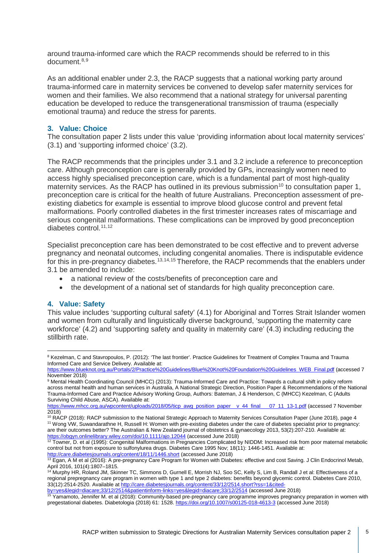around trauma-informed care which the RACP recommends should be referred to in this document. [8,](#page-4-0)[9](#page-4-1)

As an additional enabler under 2.3, the RACP suggests that a national working party around trauma-informed care in maternity services be convened to develop safer maternity services for women and their families. We also recommend that a national strategy for universal parenting education be developed to reduce the transgenerational transmission of trauma (especially emotional trauma) and reduce the stress for parents.

## **3. Value: Choice**

The consultation paper 2 lists under this value 'providing information about local maternity services' (3.1) and 'supporting informed choice' (3.2).

The RACP recommends that the principles under 3.1 and 3.2 include a reference to preconception care. Although preconception care is generally provided by GPs, increasingly women need to access highly specialised preconception care, which is a fundamental part of most high-quality maternity services. As the RACP has outlined in its previous submission<sup>[10](#page-4-2)</sup> to consultation paper 1, preconception care is critical for the health of future Australians. Preconception assessment of preexisting diabetics for example is essential to improve blood glucose control and prevent fetal malformations. Poorly controlled diabetes in the first trimester increases rates of miscarriage and serious congenital malformations. These complications can be improved by good preconception diabetes control.<sup>[11,](#page-4-3)[12](#page-4-4)</sup>

Specialist preconception care has been demonstrated to be cost effective and to prevent adverse pregnancy and neonatal outcomes, including congenital anomalies. There is indisputable evidence for this in pre-pregnancy diabetes.<sup>[13](#page-4-5),[14,](#page-4-6)[15](#page-4-7)</sup> Therefore, the RACP recommends that the enablers under 3.1 be amended to include:

- a national review of the costs/benefits of preconception care and
- the development of a national set of standards for high quality preconception care.

# **4. Value: Safety**

This value includes 'supporting cultural safety' (4.1) for Aboriginal and Torres Strait Islander women and women from culturally and linguistically diverse background, 'supporting the maternity care workforce' (4.2) and 'supporting safety and quality in maternity care' (4.3) including reducing the stillbirth rate.

<span id="page-4-0"></span><sup>&</sup>lt;sup>8</sup> Kezelman, C and Stavropoulos, P. (2012): 'The last frontier'. Practice Guidelines for Treatment of Complex Trauma and Trauma Informed Care and Service Delivery. Available at:

[https://www.blueknot.org.au/Portals/2/Practice%20Guidelines/Blue%20Knot%20Foundation%20Guidelines\\_WEB\\_Final.pdf](https://www.blueknot.org.au/Portals/2/Practice%20Guidelines/Blue%20Knot%20Foundation%20Guidelines_WEB_Final.pdf) (accessed 7 November 2018)

<span id="page-4-1"></span><sup>9</sup> Mental Health Coordinating Council (MHCC) (2013): Trauma-Informed Care and Practice: Towards a cultural shift in policy reform across mental health and human services in Australia, A National Strategic Direction, Position Paper & Recommendations of the National Trauma-Informed Care and Practice Advisory Working Group, Authors: Bateman, J & Henderson, C (MHCC) Kezelman, C (Adults Surviving Child Abuse, ASCA). Available at:

[https://www.mhcc.org.au/wpcontent/uploads/2018/05/ticp\\_awg\\_position\\_paper\\_\\_v\\_44\\_final\\_\\_\\_07\\_11\\_13-1.pdf](https://www.mhcc.org.au/wpcontent/uploads/2018/05/ticp_awg_position_paper__v_44_final___07_11_13-1.pdf) (accessed 7 November 2018)

<span id="page-4-3"></span><span id="page-4-2"></span><sup>&</sup>lt;sup>10</sup> RACP (2018): RACP submission to the National Strategic Approach to Maternity Services Consultation Paper (June 2018), page 4 11 Wong VW, Suwandarathne H, Russell H: Women with pre-existing diabetes under the care of diabetes specialist prior to pregnancy: are their outcomes better? The Australian & New Zealand journal of obstetrics & gynaecology 2013, 53(2):207-210. Available at: <https://obgyn.onlinelibrary.wiley.com/doi/10.1111/ajo.12044> (accessed June 2018)

<span id="page-4-4"></span><sup>&</sup>lt;sup>12</sup> Towner, D. et al (1995): Congenital Malformations in Pregnancies Complicated by NIDDM: Increased risk from poor maternal metabolic control but not from exposure to sulfonylurea drugs. Diabetes Care 1995 Nov; 18(11): 1446-1451. Available at: <http://care.diabetesjournals.org/content/18/11/1446.short> (accessed June 2018)

<span id="page-4-5"></span><sup>&</sup>lt;sup>13</sup> Egan, A M et al (2016): A pre-pregnancy Care Program for Women with Diabetes: effective and cost Saving. J Clin Endocrinol Metab, April 2016, 101(4):1807–1815.<br><sup>14</sup> Murphy HR, Roland JM, Skinner TC, Simmons D, Gurnell E, Morrish NJ, Soo SC, Kelly S, Lim B, Randall J et al: Effectiveness of a

<span id="page-4-6"></span>regional prepregnancy care program in women with type 1 and type 2 diabetes: benefits beyond glycemic control. Diabetes Care 2010, 33(12):2514-2520. Available at http://care.diabetesjournals.org/content/33/12/2514.short?rss=1&cited-<br>by=yes&legid=diacare;33/12/2514&patientinform-links=yes&legid=diacare;33/12/2514 (accessed June 2018)

<span id="page-4-7"></span>[by=yes&legid=diacare;33/12/2514&patientinform-links=yes&legid=diacare;33/12/2514](http://care.diabetesjournals.org/content/33/12/2514.short?rss=1&cited-by=yes&legid=diacare;33/12/2514&patientinform-links=yes&legid=diacare;33/12/2514) (accessed June 2018)

<sup>15</sup> Yamamoto, Jennifer M. et al (2018): Community-based pre-pregnancy care programme improves pregnancy preparation in women with pregestational diabetes. Diabetologia (2018) 61: 1528.<https://doi.org/10.1007/s00125-018-4613-3> (accessed June 2018)